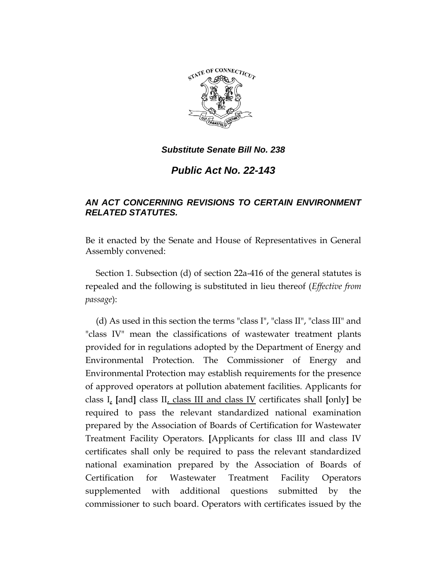

*Public Act No. 22-143*

# *AN ACT CONCERNING REVISIONS TO CERTAIN ENVIRONMENT RELATED STATUTES.*

Be it enacted by the Senate and House of Representatives in General Assembly convened:

Section 1. Subsection (d) of section 22a-416 of the general statutes is repealed and the following is substituted in lieu thereof (*Effective from passage*):

(d) As used in this section the terms "class I", "class II", "class III" and "class IV" mean the classifications of wastewater treatment plants provided for in regulations adopted by the Department of Energy and Environmental Protection. The Commissioner of Energy and Environmental Protection may establish requirements for the presence of approved operators at pollution abatement facilities. Applicants for class I, **[**and**]** class II, class III and class IV certificates shall **[**only**]** be required to pass the relevant standardized national examination prepared by the Association of Boards of Certification for Wastewater Treatment Facility Operators. **[**Applicants for class III and class IV certificates shall only be required to pass the relevant standardized national examination prepared by the Association of Boards of Certification for Wastewater Treatment Facility Operators supplemented with additional questions submitted by the commissioner to such board. Operators with certificates issued by the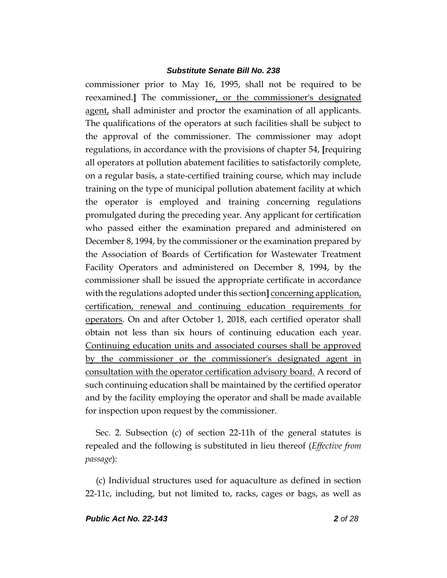commissioner prior to May 16, 1995, shall not be required to be reexamined.**]** The commissioner, or the commissioner's designated agent, shall administer and proctor the examination of all applicants. The qualifications of the operators at such facilities shall be subject to the approval of the commissioner. The commissioner may adopt regulations, in accordance with the provisions of chapter 54, **[**requiring all operators at pollution abatement facilities to satisfactorily complete, on a regular basis, a state-certified training course, which may include training on the type of municipal pollution abatement facility at which the operator is employed and training concerning regulations promulgated during the preceding year. Any applicant for certification who passed either the examination prepared and administered on December 8, 1994, by the commissioner or the examination prepared by the Association of Boards of Certification for Wastewater Treatment Facility Operators and administered on December 8, 1994, by the commissioner shall be issued the appropriate certificate in accordance with the regulations adopted under this section**]** concerning application, certification, renewal and continuing education requirements for operators. On and after October 1, 2018, each certified operator shall obtain not less than six hours of continuing education each year. Continuing education units and associated courses shall be approved by the commissioner or the commissioner's designated agent in consultation with the operator certification advisory board. A record of such continuing education shall be maintained by the certified operator and by the facility employing the operator and shall be made available for inspection upon request by the commissioner.

Sec. 2. Subsection (c) of section 22-11h of the general statutes is repealed and the following is substituted in lieu thereof (*Effective from passage*):

(c) Individual structures used for aquaculture as defined in section 22-11c, including, but not limited to, racks, cages or bags, as well as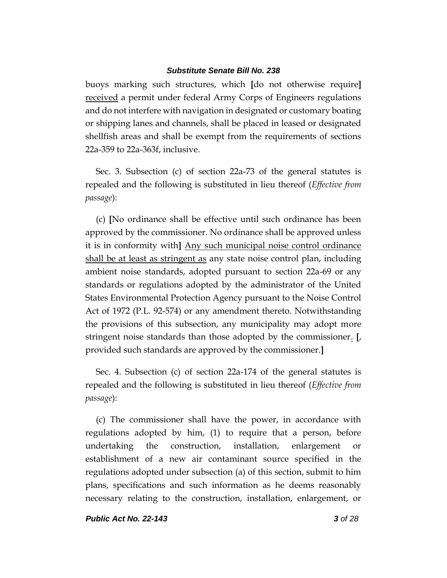buoys marking such structures, which **[**do not otherwise require**]** received a permit under federal Army Corps of Engineers regulations and do not interfere with navigation in designated or customary boating or shipping lanes and channels, shall be placed in leased or designated shellfish areas and shall be exempt from the requirements of sections 22a-359 to 22a-363f, inclusive.

Sec. 3. Subsection (c) of section 22a-73 of the general statutes is repealed and the following is substituted in lieu thereof (*Effective from passage*):

(c) **[**No ordinance shall be effective until such ordinance has been approved by the commissioner. No ordinance shall be approved unless it is in conformity with**]** Any such municipal noise control ordinance shall be at least as stringent as any state noise control plan, including ambient noise standards, adopted pursuant to section 22a-69 or any standards or regulations adopted by the administrator of the United States Environmental Protection Agency pursuant to the Noise Control Act of 1972 (P.L. 92-574) or any amendment thereto. Notwithstanding the provisions of this subsection, any municipality may adopt more stringent noise standards than those adopted by the commissioner. **[**, provided such standards are approved by the commissioner.**]**

Sec. 4. Subsection (c) of section 22a-174 of the general statutes is repealed and the following is substituted in lieu thereof (*Effective from passage*):

(c) The commissioner shall have the power, in accordance with regulations adopted by him, (1) to require that a person, before undertaking the construction, installation, enlargement or establishment of a new air contaminant source specified in the regulations adopted under subsection (a) of this section, submit to him plans, specifications and such information as he deems reasonably necessary relating to the construction, installation, enlargement, or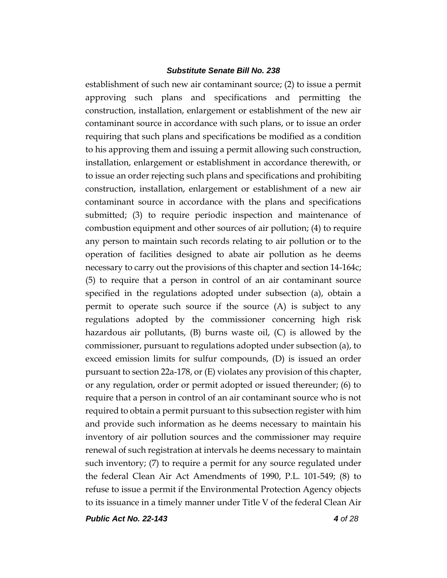establishment of such new air contaminant source; (2) to issue a permit approving such plans and specifications and permitting the construction, installation, enlargement or establishment of the new air contaminant source in accordance with such plans, or to issue an order requiring that such plans and specifications be modified as a condition to his approving them and issuing a permit allowing such construction, installation, enlargement or establishment in accordance therewith, or to issue an order rejecting such plans and specifications and prohibiting construction, installation, enlargement or establishment of a new air contaminant source in accordance with the plans and specifications submitted; (3) to require periodic inspection and maintenance of combustion equipment and other sources of air pollution; (4) to require any person to maintain such records relating to air pollution or to the operation of facilities designed to abate air pollution as he deems necessary to carry out the provisions of this chapter and section 14-164c; (5) to require that a person in control of an air contaminant source specified in the regulations adopted under subsection (a), obtain a permit to operate such source if the source (A) is subject to any regulations adopted by the commissioner concerning high risk hazardous air pollutants, (B) burns waste oil, (C) is allowed by the commissioner, pursuant to regulations adopted under subsection (a), to exceed emission limits for sulfur compounds, (D) is issued an order pursuant to section 22a-178, or (E) violates any provision of this chapter, or any regulation, order or permit adopted or issued thereunder; (6) to require that a person in control of an air contaminant source who is not required to obtain a permit pursuant to this subsection register with him and provide such information as he deems necessary to maintain his inventory of air pollution sources and the commissioner may require renewal of such registration at intervals he deems necessary to maintain such inventory; (7) to require a permit for any source regulated under the federal Clean Air Act Amendments of 1990, P.L. 101-549; (8) to refuse to issue a permit if the Environmental Protection Agency objects to its issuance in a timely manner under Title V of the federal Clean Air

*Public Act No. 22-143 4 of 28*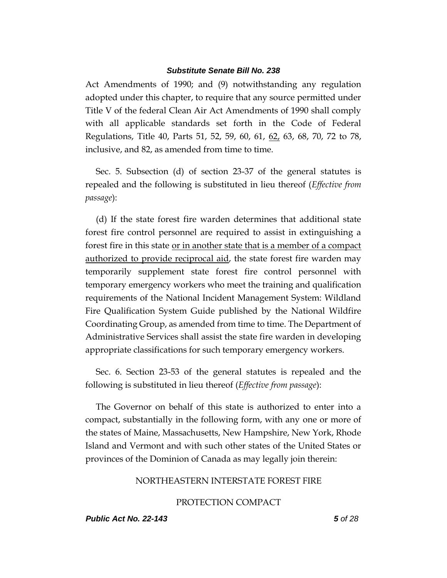Act Amendments of 1990; and (9) notwithstanding any regulation adopted under this chapter, to require that any source permitted under Title V of the federal Clean Air Act Amendments of 1990 shall comply with all applicable standards set forth in the Code of Federal Regulations, Title 40, Parts 51, 52, 59, 60, 61, 62, 63, 68, 70, 72 to 78, inclusive, and 82, as amended from time to time.

Sec. 5. Subsection (d) of section 23-37 of the general statutes is repealed and the following is substituted in lieu thereof (*Effective from passage*):

(d) If the state forest fire warden determines that additional state forest fire control personnel are required to assist in extinguishing a forest fire in this state or in another state that is a member of a compact authorized to provide reciprocal aid, the state forest fire warden may temporarily supplement state forest fire control personnel with temporary emergency workers who meet the training and qualification requirements of the National Incident Management System: Wildland Fire Qualification System Guide published by the National Wildfire Coordinating Group, as amended from time to time. The Department of Administrative Services shall assist the state fire warden in developing appropriate classifications for such temporary emergency workers.

Sec. 6. Section 23-53 of the general statutes is repealed and the following is substituted in lieu thereof (*Effective from passage*):

The Governor on behalf of this state is authorized to enter into a compact, substantially in the following form, with any one or more of the states of Maine, Massachusetts, New Hampshire, New York, Rhode Island and Vermont and with such other states of the United States or provinces of the Dominion of Canada as may legally join therein:

#### NORTHEASTERN INTERSTATE FOREST FIRE

#### PROTECTION COMPACT

#### *Public Act No. 22-143 5 of 28*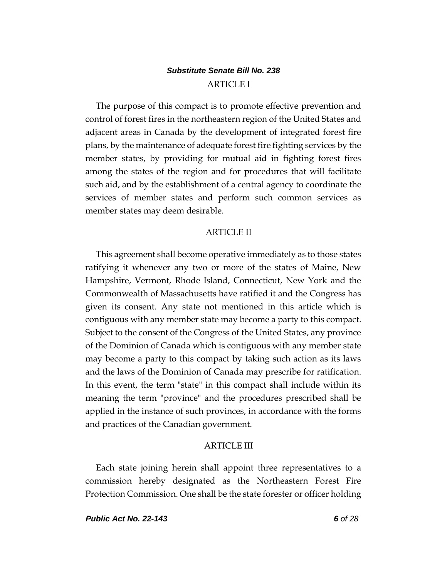# *Substitute Senate Bill No. 238* ARTICLE I

The purpose of this compact is to promote effective prevention and control of forest fires in the northeastern region of the United States and adjacent areas in Canada by the development of integrated forest fire plans, by the maintenance of adequate forest fire fighting services by the member states, by providing for mutual aid in fighting forest fires among the states of the region and for procedures that will facilitate such aid, and by the establishment of a central agency to coordinate the services of member states and perform such common services as member states may deem desirable.

## ARTICLE II

This agreement shall become operative immediately as to those states ratifying it whenever any two or more of the states of Maine, New Hampshire, Vermont, Rhode Island, Connecticut, New York and the Commonwealth of Massachusetts have ratified it and the Congress has given its consent. Any state not mentioned in this article which is contiguous with any member state may become a party to this compact. Subject to the consent of the Congress of the United States, any province of the Dominion of Canada which is contiguous with any member state may become a party to this compact by taking such action as its laws and the laws of the Dominion of Canada may prescribe for ratification. In this event, the term "state" in this compact shall include within its meaning the term "province" and the procedures prescribed shall be applied in the instance of such provinces, in accordance with the forms and practices of the Canadian government.

#### ARTICLE III

Each state joining herein shall appoint three representatives to a commission hereby designated as the Northeastern Forest Fire Protection Commission. One shall be the state forester or officer holding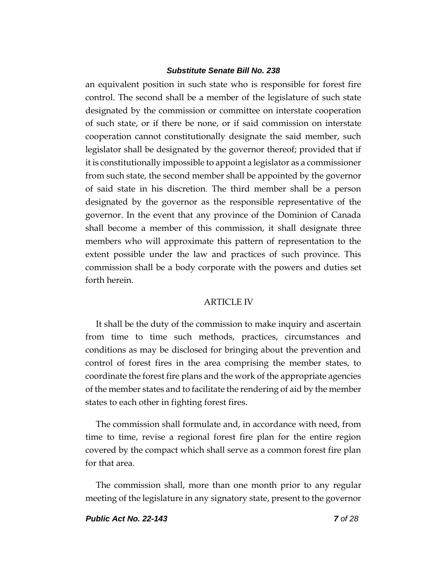an equivalent position in such state who is responsible for forest fire control. The second shall be a member of the legislature of such state designated by the commission or committee on interstate cooperation of such state, or if there be none, or if said commission on interstate cooperation cannot constitutionally designate the said member, such legislator shall be designated by the governor thereof; provided that if it is constitutionally impossible to appoint a legislator as a commissioner from such state, the second member shall be appointed by the governor of said state in his discretion. The third member shall be a person designated by the governor as the responsible representative of the governor. In the event that any province of the Dominion of Canada shall become a member of this commission, it shall designate three members who will approximate this pattern of representation to the extent possible under the law and practices of such province. This commission shall be a body corporate with the powers and duties set forth herein.

#### ARTICLE IV

It shall be the duty of the commission to make inquiry and ascertain from time to time such methods, practices, circumstances and conditions as may be disclosed for bringing about the prevention and control of forest fires in the area comprising the member states, to coordinate the forest fire plans and the work of the appropriate agencies of the member states and to facilitate the rendering of aid by the member states to each other in fighting forest fires.

The commission shall formulate and, in accordance with need, from time to time, revise a regional forest fire plan for the entire region covered by the compact which shall serve as a common forest fire plan for that area.

The commission shall, more than one month prior to any regular meeting of the legislature in any signatory state, present to the governor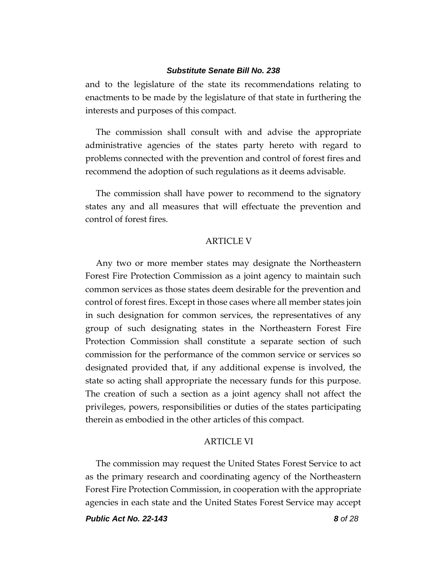and to the legislature of the state its recommendations relating to enactments to be made by the legislature of that state in furthering the interests and purposes of this compact.

The commission shall consult with and advise the appropriate administrative agencies of the states party hereto with regard to problems connected with the prevention and control of forest fires and recommend the adoption of such regulations as it deems advisable.

The commission shall have power to recommend to the signatory states any and all measures that will effectuate the prevention and control of forest fires.

### **ARTICLE V**

Any two or more member states may designate the Northeastern Forest Fire Protection Commission as a joint agency to maintain such common services as those states deem desirable for the prevention and control of forest fires. Except in those cases where all member states join in such designation for common services, the representatives of any group of such designating states in the Northeastern Forest Fire Protection Commission shall constitute a separate section of such commission for the performance of the common service or services so designated provided that, if any additional expense is involved, the state so acting shall appropriate the necessary funds for this purpose. The creation of such a section as a joint agency shall not affect the privileges, powers, responsibilities or duties of the states participating therein as embodied in the other articles of this compact.

## **ARTICLE VI**

The commission may request the United States Forest Service to act as the primary research and coordinating agency of the Northeastern Forest Fire Protection Commission, in cooperation with the appropriate agencies in each state and the United States Forest Service may accept

*Public Act No. 22-143 8 of 28*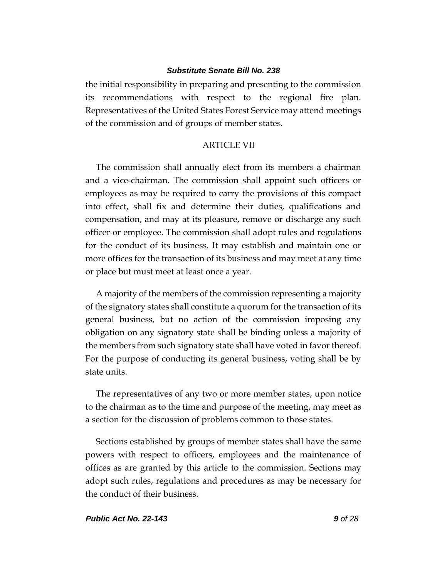the initial responsibility in preparing and presenting to the commission its recommendations with respect to the regional fire plan. Representatives of the United States Forest Service may attend meetings of the commission and of groups of member states.

## ARTICLE VII

The commission shall annually elect from its members a chairman and a vice-chairman. The commission shall appoint such officers or employees as may be required to carry the provisions of this compact into effect, shall fix and determine their duties, qualifications and compensation, and may at its pleasure, remove or discharge any such officer or employee. The commission shall adopt rules and regulations for the conduct of its business. It may establish and maintain one or more offices for the transaction of its business and may meet at any time or place but must meet at least once a year.

A majority of the members of the commission representing a majority of the signatory states shall constitute a quorum for the transaction of its general business, but no action of the commission imposing any obligation on any signatory state shall be binding unless a majority of the members from such signatory state shall have voted in favor thereof. For the purpose of conducting its general business, voting shall be by state units.

The representatives of any two or more member states, upon notice to the chairman as to the time and purpose of the meeting, may meet as a section for the discussion of problems common to those states.

Sections established by groups of member states shall have the same powers with respect to officers, employees and the maintenance of offices as are granted by this article to the commission. Sections may adopt such rules, regulations and procedures as may be necessary for the conduct of their business.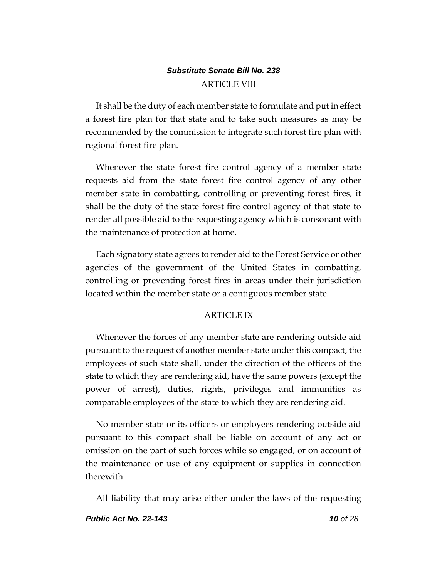# *Substitute Senate Bill No. 238* ARTICLE VIII

It shall be the duty of each member state to formulate and put in effect a forest fire plan for that state and to take such measures as may be recommended by the commission to integrate such forest fire plan with regional forest fire plan.

Whenever the state forest fire control agency of a member state requests aid from the state forest fire control agency of any other member state in combatting, controlling or preventing forest fires, it shall be the duty of the state forest fire control agency of that state to render all possible aid to the requesting agency which is consonant with the maintenance of protection at home.

Each signatory state agrees to render aid to the Forest Service or other agencies of the government of the United States in combatting, controlling or preventing forest fires in areas under their jurisdiction located within the member state or a contiguous member state.

# ARTICLE IX

Whenever the forces of any member state are rendering outside aid pursuant to the request of another member state under this compact, the employees of such state shall, under the direction of the officers of the state to which they are rendering aid, have the same powers (except the power of arrest), duties, rights, privileges and immunities as comparable employees of the state to which they are rendering aid.

No member state or its officers or employees rendering outside aid pursuant to this compact shall be liable on account of any act or omission on the part of such forces while so engaged, or on account of the maintenance or use of any equipment or supplies in connection therewith.

All liability that may arise either under the laws of the requesting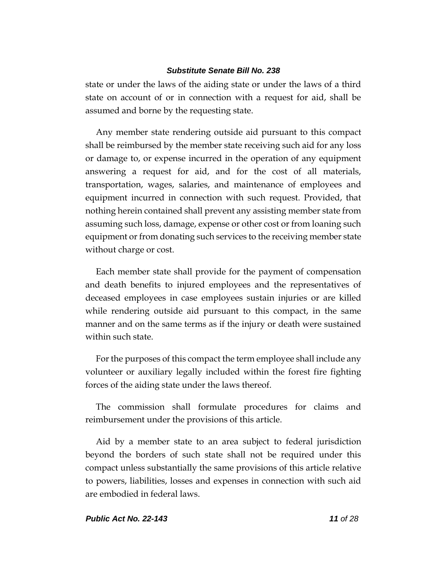state or under the laws of the aiding state or under the laws of a third state on account of or in connection with a request for aid, shall be assumed and borne by the requesting state.

Any member state rendering outside aid pursuant to this compact shall be reimbursed by the member state receiving such aid for any loss or damage to, or expense incurred in the operation of any equipment answering a request for aid, and for the cost of all materials, transportation, wages, salaries, and maintenance of employees and equipment incurred in connection with such request. Provided, that nothing herein contained shall prevent any assisting member state from assuming such loss, damage, expense or other cost or from loaning such equipment or from donating such services to the receiving member state without charge or cost.

Each member state shall provide for the payment of compensation and death benefits to injured employees and the representatives of deceased employees in case employees sustain injuries or are killed while rendering outside aid pursuant to this compact, in the same manner and on the same terms as if the injury or death were sustained within such state.

For the purposes of this compact the term employee shall include any volunteer or auxiliary legally included within the forest fire fighting forces of the aiding state under the laws thereof.

The commission shall formulate procedures for claims and reimbursement under the provisions of this article.

Aid by a member state to an area subject to federal jurisdiction beyond the borders of such state shall not be required under this compact unless substantially the same provisions of this article relative to powers, liabilities, losses and expenses in connection with such aid are embodied in federal laws.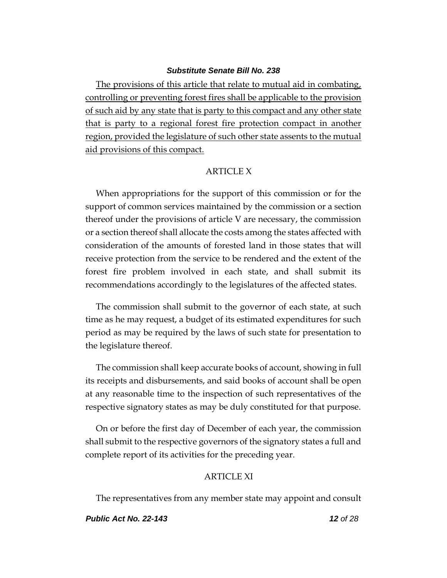The provisions of this article that relate to mutual aid in combating, controlling or preventing forest fires shall be applicable to the provision of such aid by any state that is party to this compact and any other state that is party to a regional forest fire protection compact in another region, provided the legislature of such other state assents to the mutual aid provisions of this compact.

#### ARTICLE X

When appropriations for the support of this commission or for the support of common services maintained by the commission or a section thereof under the provisions of article V are necessary, the commission or a section thereof shall allocate the costs among the states affected with consideration of the amounts of forested land in those states that will receive protection from the service to be rendered and the extent of the forest fire problem involved in each state, and shall submit its recommendations accordingly to the legislatures of the affected states.

The commission shall submit to the governor of each state, at such time as he may request, a budget of its estimated expenditures for such period as may be required by the laws of such state for presentation to the legislature thereof.

The commission shall keep accurate books of account, showing in full its receipts and disbursements, and said books of account shall be open at any reasonable time to the inspection of such representatives of the respective signatory states as may be duly constituted for that purpose.

On or before the first day of December of each year, the commission shall submit to the respective governors of the signatory states a full and complete report of its activities for the preceding year.

## ARTICLE XI

The representatives from any member state may appoint and consult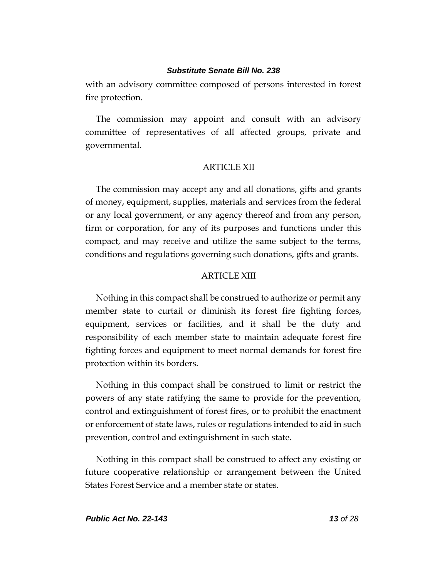with an advisory committee composed of persons interested in forest fire protection.

The commission may appoint and consult with an advisory committee of representatives of all affected groups, private and governmental.

#### ARTICLE XII

The commission may accept any and all donations, gifts and grants of money, equipment, supplies, materials and services from the federal or any local government, or any agency thereof and from any person, firm or corporation, for any of its purposes and functions under this compact, and may receive and utilize the same subject to the terms, conditions and regulations governing such donations, gifts and grants.

## ARTICLE XIII

Nothing in this compact shall be construed to authorize or permit any member state to curtail or diminish its forest fire fighting forces, equipment, services or facilities, and it shall be the duty and responsibility of each member state to maintain adequate forest fire fighting forces and equipment to meet normal demands for forest fire protection within its borders.

Nothing in this compact shall be construed to limit or restrict the powers of any state ratifying the same to provide for the prevention, control and extinguishment of forest fires, or to prohibit the enactment or enforcement of state laws, rules or regulations intended to aid in such prevention, control and extinguishment in such state.

Nothing in this compact shall be construed to affect any existing or future cooperative relationship or arrangement between the United States Forest Service and a member state or states.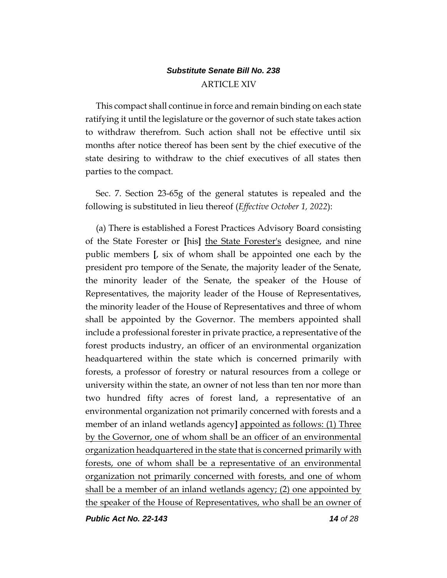# *Substitute Senate Bill No. 238* ARTICLE XIV

This compact shall continue in force and remain binding on each state ratifying it until the legislature or the governor of such state takes action to withdraw therefrom. Such action shall not be effective until six months after notice thereof has been sent by the chief executive of the state desiring to withdraw to the chief executives of all states then parties to the compact.

Sec. 7. Section 23-65g of the general statutes is repealed and the following is substituted in lieu thereof (*Effective October 1, 2022*):

(a) There is established a Forest Practices Advisory Board consisting of the State Forester or **[**his**]** the State Forester's designee, and nine public members **[**, six of whom shall be appointed one each by the president pro tempore of the Senate, the majority leader of the Senate, the minority leader of the Senate, the speaker of the House of Representatives, the majority leader of the House of Representatives, the minority leader of the House of Representatives and three of whom shall be appointed by the Governor. The members appointed shall include a professional forester in private practice, a representative of the forest products industry, an officer of an environmental organization headquartered within the state which is concerned primarily with forests, a professor of forestry or natural resources from a college or university within the state, an owner of not less than ten nor more than two hundred fifty acres of forest land, a representative of an environmental organization not primarily concerned with forests and a member of an inland wetlands agency**]** appointed as follows: (1) Three by the Governor, one of whom shall be an officer of an environmental organization headquartered in the state that is concerned primarily with forests, one of whom shall be a representative of an environmental organization not primarily concerned with forests, and one of whom shall be a member of an inland wetlands agency; (2) one appointed by the speaker of the House of Representatives, who shall be an owner of

*Public Act No. 22-143 14 of 28*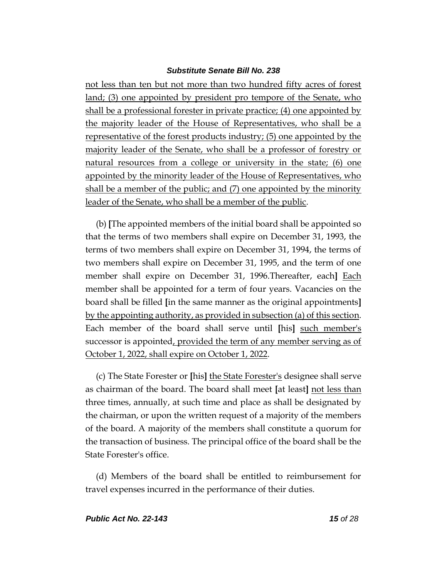not less than ten but not more than two hundred fifty acres of forest land; (3) one appointed by president pro tempore of the Senate, who shall be a professional forester in private practice; (4) one appointed by the majority leader of the House of Representatives, who shall be a representative of the forest products industry; (5) one appointed by the majority leader of the Senate, who shall be a professor of forestry or natural resources from a college or university in the state; (6) one appointed by the minority leader of the House of Representatives, who shall be a member of the public; and (7) one appointed by the minority leader of the Senate, who shall be a member of the public.

(b) **[**The appointed members of the initial board shall be appointed so that the terms of two members shall expire on December 31, 1993, the terms of two members shall expire on December 31, 1994, the terms of two members shall expire on December 31, 1995, and the term of one member shall expire on December 31, 1996.Thereafter, each**]** Each member shall be appointed for a term of four years. Vacancies on the board shall be filled **[**in the same manner as the original appointments**]** by the appointing authority, as provided in subsection (a) of this section. Each member of the board shall serve until **[**his**]** such member's successor is appointed, provided the term of any member serving as of October 1, 2022, shall expire on October 1, 2022.

(c) The State Forester or **[**his**]** the State Forester's designee shall serve as chairman of the board. The board shall meet **[**at least**]** not less than three times, annually, at such time and place as shall be designated by the chairman, or upon the written request of a majority of the members of the board. A majority of the members shall constitute a quorum for the transaction of business. The principal office of the board shall be the State Forester's office.

(d) Members of the board shall be entitled to reimbursement for travel expenses incurred in the performance of their duties.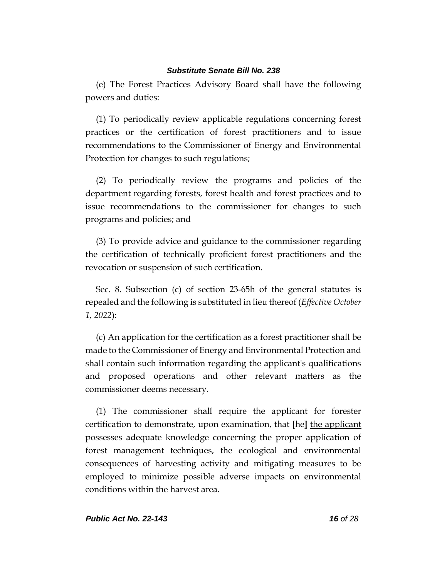(e) The Forest Practices Advisory Board shall have the following powers and duties:

(1) To periodically review applicable regulations concerning forest practices or the certification of forest practitioners and to issue recommendations to the Commissioner of Energy and Environmental Protection for changes to such regulations;

(2) To periodically review the programs and policies of the department regarding forests, forest health and forest practices and to issue recommendations to the commissioner for changes to such programs and policies; and

(3) To provide advice and guidance to the commissioner regarding the certification of technically proficient forest practitioners and the revocation or suspension of such certification.

Sec. 8. Subsection (c) of section 23-65h of the general statutes is repealed and the following is substituted in lieu thereof (*Effective October 1, 2022*):

(c) An application for the certification as a forest practitioner shall be made to the Commissioner of Energy and Environmental Protection and shall contain such information regarding the applicant's qualifications and proposed operations and other relevant matters as the commissioner deems necessary.

(1) The commissioner shall require the applicant for forester certification to demonstrate, upon examination, that **[**he**]** the applicant possesses adequate knowledge concerning the proper application of forest management techniques, the ecological and environmental consequences of harvesting activity and mitigating measures to be employed to minimize possible adverse impacts on environmental conditions within the harvest area.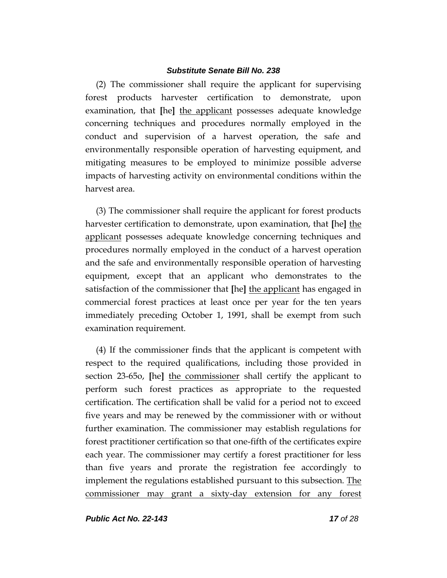(2) The commissioner shall require the applicant for supervising forest products harvester certification to demonstrate, upon examination, that **[**he**]** the applicant possesses adequate knowledge concerning techniques and procedures normally employed in the conduct and supervision of a harvest operation, the safe and environmentally responsible operation of harvesting equipment, and mitigating measures to be employed to minimize possible adverse impacts of harvesting activity on environmental conditions within the harvest area.

(3) The commissioner shall require the applicant for forest products harvester certification to demonstrate, upon examination, that **[**he**]** the applicant possesses adequate knowledge concerning techniques and procedures normally employed in the conduct of a harvest operation and the safe and environmentally responsible operation of harvesting equipment, except that an applicant who demonstrates to the satisfaction of the commissioner that **[**he**]** the applicant has engaged in commercial forest practices at least once per year for the ten years immediately preceding October 1, 1991, shall be exempt from such examination requirement.

(4) If the commissioner finds that the applicant is competent with respect to the required qualifications, including those provided in section 23-65o, **[**he**]** the commissioner shall certify the applicant to perform such forest practices as appropriate to the requested certification. The certification shall be valid for a period not to exceed five years and may be renewed by the commissioner with or without further examination. The commissioner may establish regulations for forest practitioner certification so that one-fifth of the certificates expire each year. The commissioner may certify a forest practitioner for less than five years and prorate the registration fee accordingly to implement the regulations established pursuant to this subsection. The commissioner may grant a sixty-day extension for any forest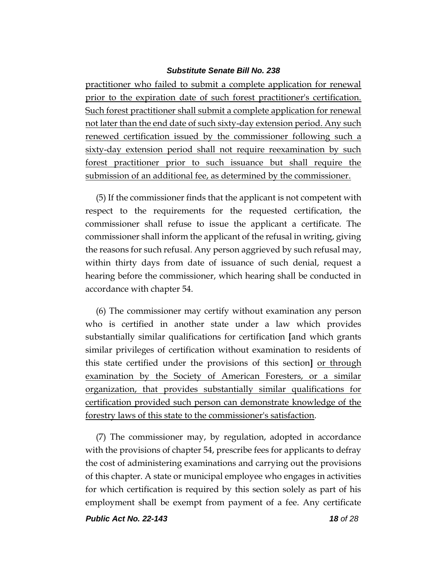practitioner who failed to submit a complete application for renewal prior to the expiration date of such forest practitioner's certification. Such forest practitioner shall submit a complete application for renewal not later than the end date of such sixty-day extension period. Any such renewed certification issued by the commissioner following such a sixty-day extension period shall not require reexamination by such forest practitioner prior to such issuance but shall require the submission of an additional fee, as determined by the commissioner.

(5) If the commissioner finds that the applicant is not competent with respect to the requirements for the requested certification, the commissioner shall refuse to issue the applicant a certificate. The commissioner shall inform the applicant of the refusal in writing, giving the reasons for such refusal. Any person aggrieved by such refusal may, within thirty days from date of issuance of such denial, request a hearing before the commissioner, which hearing shall be conducted in accordance with chapter 54.

(6) The commissioner may certify without examination any person who is certified in another state under a law which provides substantially similar qualifications for certification **[**and which grants similar privileges of certification without examination to residents of this state certified under the provisions of this section**]** or through examination by the Society of American Foresters, or a similar organization, that provides substantially similar qualifications for certification provided such person can demonstrate knowledge of the forestry laws of this state to the commissioner's satisfaction.

(7) The commissioner may, by regulation, adopted in accordance with the provisions of chapter 54, prescribe fees for applicants to defray the cost of administering examinations and carrying out the provisions of this chapter. A state or municipal employee who engages in activities for which certification is required by this section solely as part of his employment shall be exempt from payment of a fee. Any certificate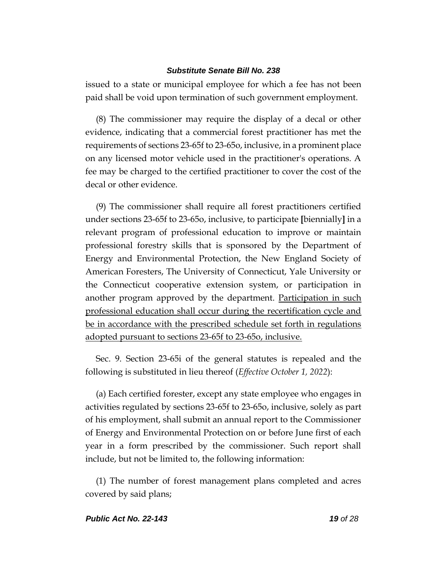issued to a state or municipal employee for which a fee has not been paid shall be void upon termination of such government employment.

(8) The commissioner may require the display of a decal or other evidence, indicating that a commercial forest practitioner has met the requirements of sections 23-65f to 23-65o, inclusive, in a prominent place on any licensed motor vehicle used in the practitioner's operations. A fee may be charged to the certified practitioner to cover the cost of the decal or other evidence.

(9) The commissioner shall require all forest practitioners certified under sections 23-65f to 23-65o, inclusive, to participate **[**biennially**]** in a relevant program of professional education to improve or maintain professional forestry skills that is sponsored by the Department of Energy and Environmental Protection, the New England Society of American Foresters, The University of Connecticut, Yale University or the Connecticut cooperative extension system, or participation in another program approved by the department. Participation in such professional education shall occur during the recertification cycle and be in accordance with the prescribed schedule set forth in regulations adopted pursuant to sections 23-65f to 23-65o, inclusive.

Sec. 9. Section 23-65i of the general statutes is repealed and the following is substituted in lieu thereof (*Effective October 1, 2022*):

(a) Each certified forester, except any state employee who engages in activities regulated by sections 23-65f to 23-65o, inclusive, solely as part of his employment, shall submit an annual report to the Commissioner of Energy and Environmental Protection on or before June first of each year in a form prescribed by the commissioner. Such report shall include, but not be limited to, the following information:

(1) The number of forest management plans completed and acres covered by said plans;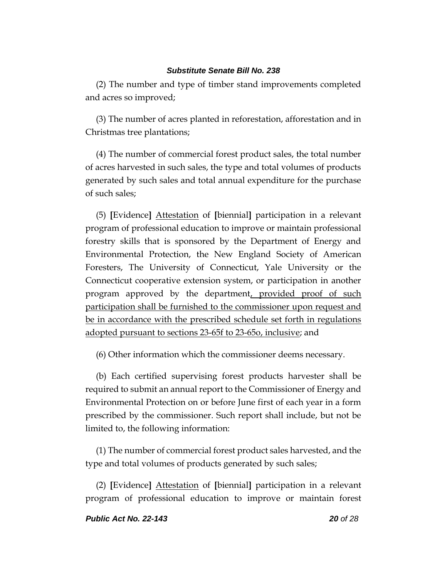(2) The number and type of timber stand improvements completed and acres so improved;

(3) The number of acres planted in reforestation, afforestation and in Christmas tree plantations;

(4) The number of commercial forest product sales, the total number of acres harvested in such sales, the type and total volumes of products generated by such sales and total annual expenditure for the purchase of such sales;

(5) **[**Evidence**]** Attestation of **[**biennial**]** participation in a relevant program of professional education to improve or maintain professional forestry skills that is sponsored by the Department of Energy and Environmental Protection, the New England Society of American Foresters, The University of Connecticut, Yale University or the Connecticut cooperative extension system, or participation in another program approved by the department, provided proof of such participation shall be furnished to the commissioner upon request and be in accordance with the prescribed schedule set forth in regulations adopted pursuant to sections 23-65f to 23-65o, inclusive; and

(6) Other information which the commissioner deems necessary.

(b) Each certified supervising forest products harvester shall be required to submit an annual report to the Commissioner of Energy and Environmental Protection on or before June first of each year in a form prescribed by the commissioner. Such report shall include, but not be limited to, the following information:

(1) The number of commercial forest product sales harvested, and the type and total volumes of products generated by such sales;

(2) **[**Evidence**]** Attestation of **[**biennial**]** participation in a relevant program of professional education to improve or maintain forest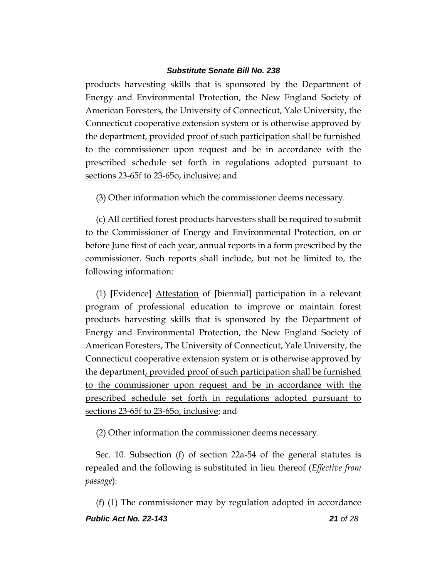products harvesting skills that is sponsored by the Department of Energy and Environmental Protection, the New England Society of American Foresters, the University of Connecticut, Yale University, the Connecticut cooperative extension system or is otherwise approved by the department, provided proof of such participation shall be furnished to the commissioner upon request and be in accordance with the prescribed schedule set forth in regulations adopted pursuant to sections 23-65f to 23-65o, inclusive; and

(3) Other information which the commissioner deems necessary.

(c) All certified forest products harvesters shall be required to submit to the Commissioner of Energy and Environmental Protection, on or before June first of each year, annual reports in a form prescribed by the commissioner. Such reports shall include, but not be limited to, the following information:

(1) **[**Evidence**]** Attestation of **[**biennial**]** participation in a relevant program of professional education to improve or maintain forest products harvesting skills that is sponsored by the Department of Energy and Environmental Protection, the New England Society of American Foresters, The University of Connecticut, Yale University, the Connecticut cooperative extension system or is otherwise approved by the department, provided proof of such participation shall be furnished to the commissioner upon request and be in accordance with the prescribed schedule set forth in regulations adopted pursuant to sections 23-65f to 23-65o, inclusive; and

(2) Other information the commissioner deems necessary.

Sec. 10. Subsection (f) of section 22a-54 of the general statutes is repealed and the following is substituted in lieu thereof (*Effective from passage*):

*Public Act No. 22-143 21 of 28* (f) (1) The commissioner may by regulation adopted in accordance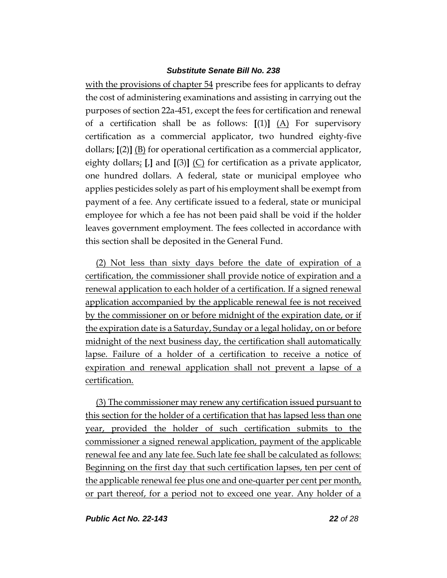with the provisions of chapter 54 prescribe fees for applicants to defray the cost of administering examinations and assisting in carrying out the purposes of section 22a-451, except the fees for certification and renewal of a certification shall be as follows:  $[(1)]$   $(A)$  For supervisory certification as a commercial applicator, two hundred eighty-five dollars; **[**(2)**]** (B) for operational certification as a commercial applicator, eighty dollars; **[**,**]** and **[**(3)**]** (C) for certification as a private applicator, one hundred dollars. A federal, state or municipal employee who applies pesticides solely as part of his employment shall be exempt from payment of a fee. Any certificate issued to a federal, state or municipal employee for which a fee has not been paid shall be void if the holder leaves government employment. The fees collected in accordance with this section shall be deposited in the General Fund.

(2) Not less than sixty days before the date of expiration of a certification, the commissioner shall provide notice of expiration and a renewal application to each holder of a certification. If a signed renewal application accompanied by the applicable renewal fee is not received by the commissioner on or before midnight of the expiration date, or if the expiration date is a Saturday, Sunday or a legal holiday, on or before midnight of the next business day, the certification shall automatically lapse. Failure of a holder of a certification to receive a notice of expiration and renewal application shall not prevent a lapse of a certification.

(3) The commissioner may renew any certification issued pursuant to this section for the holder of a certification that has lapsed less than one year, provided the holder of such certification submits to the commissioner a signed renewal application, payment of the applicable renewal fee and any late fee. Such late fee shall be calculated as follows: Beginning on the first day that such certification lapses, ten per cent of the applicable renewal fee plus one and one-quarter per cent per month, or part thereof, for a period not to exceed one year. Any holder of a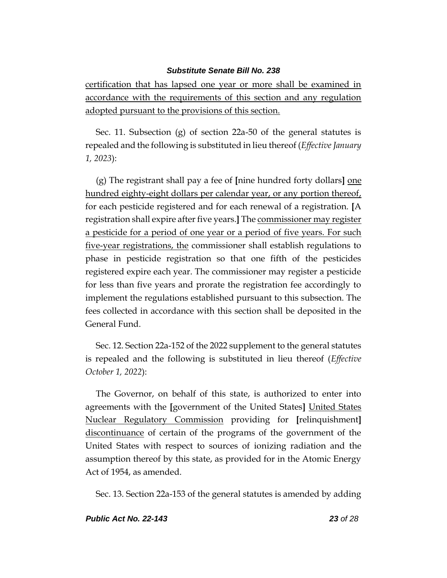certification that has lapsed one year or more shall be examined in accordance with the requirements of this section and any regulation adopted pursuant to the provisions of this section.

Sec. 11. Subsection (g) of section 22a-50 of the general statutes is repealed and the following is substituted in lieu thereof (*Effective January 1, 2023*):

(g) The registrant shall pay a fee of **[**nine hundred forty dollars**]** one hundred eighty-eight dollars per calendar year, or any portion thereof, for each pesticide registered and for each renewal of a registration. **[**A registration shall expire after five years.**]** The commissioner may register a pesticide for a period of one year or a period of five years. For such five-year registrations, the commissioner shall establish regulations to phase in pesticide registration so that one fifth of the pesticides registered expire each year. The commissioner may register a pesticide for less than five years and prorate the registration fee accordingly to implement the regulations established pursuant to this subsection. The fees collected in accordance with this section shall be deposited in the General Fund.

Sec. 12. Section 22a-152 of the 2022 supplement to the general statutes is repealed and the following is substituted in lieu thereof (*Effective October 1, 2022*):

The Governor, on behalf of this state, is authorized to enter into agreements with the **[**government of the United States**]** United States Nuclear Regulatory Commission providing for **[**relinquishment**]** discontinuance of certain of the programs of the government of the United States with respect to sources of ionizing radiation and the assumption thereof by this state, as provided for in the Atomic Energy Act of 1954, as amended.

Sec. 13. Section 22a-153 of the general statutes is amended by adding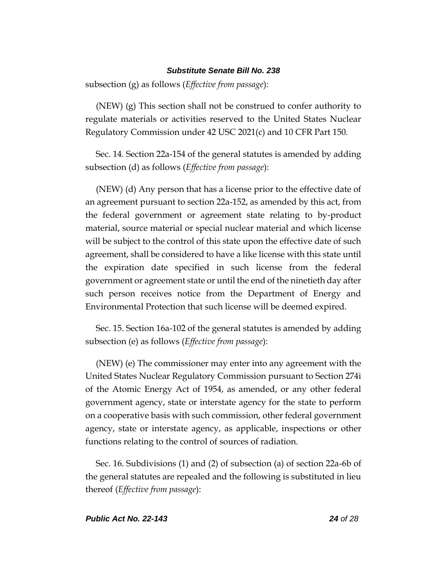subsection (g) as follows (*Effective from passage*):

(NEW) (g) This section shall not be construed to confer authority to regulate materials or activities reserved to the United States Nuclear Regulatory Commission under 42 USC 2021(c) and 10 CFR Part 150.

Sec. 14. Section 22a-154 of the general statutes is amended by adding subsection (d) as follows (*Effective from passage*):

(NEW) (d) Any person that has a license prior to the effective date of an agreement pursuant to section 22a-152, as amended by this act, from the federal government or agreement state relating to by-product material, source material or special nuclear material and which license will be subject to the control of this state upon the effective date of such agreement, shall be considered to have a like license with this state until the expiration date specified in such license from the federal government or agreement state or until the end of the ninetieth day after such person receives notice from the Department of Energy and Environmental Protection that such license will be deemed expired.

Sec. 15. Section 16a-102 of the general statutes is amended by adding subsection (e) as follows (*Effective from passage*):

(NEW) (e) The commissioner may enter into any agreement with the United States Nuclear Regulatory Commission pursuant to Section 274i of the Atomic Energy Act of 1954, as amended, or any other federal government agency, state or interstate agency for the state to perform on a cooperative basis with such commission, other federal government agency, state or interstate agency, as applicable, inspections or other functions relating to the control of sources of radiation.

Sec. 16. Subdivisions (1) and (2) of subsection (a) of section 22a-6b of the general statutes are repealed and the following is substituted in lieu thereof (*Effective from passage*):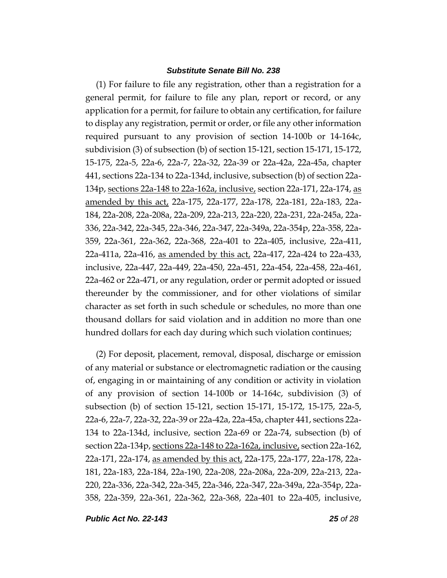(1) For failure to file any registration, other than a registration for a general permit, for failure to file any plan, report or record, or any application for a permit, for failure to obtain any certification, for failure to display any registration, permit or order, or file any other information required pursuant to any provision of section 14-100b or 14-164c, subdivision (3) of subsection (b) of section 15-121, section 15-171, 15-172, 15-175, 22a-5, 22a-6, 22a-7, 22a-32, 22a-39 or 22a-42a, 22a-45a, chapter 441, sections 22a-134 to 22a-134d, inclusive, subsection (b) of section 22a-134p, sections 22a-148 to 22a-162a, inclusive, section 22a-171, 22a-174, as amended by this act, 22a-175, 22a-177, 22a-178, 22a-181, 22a-183, 22a-184, 22a-208, 22a-208a, 22a-209, 22a-213, 22a-220, 22a-231, 22a-245a, 22a-336, 22a-342, 22a-345, 22a-346, 22a-347, 22a-349a, 22a-354p, 22a-358, 22a-359, 22a-361, 22a-362, 22a-368, 22a-401 to 22a-405, inclusive, 22a-411, 22a-411a, 22a-416, as amended by this act, 22a-417, 22a-424 to 22a-433, inclusive, 22a-447, 22a-449, 22a-450, 22a-451, 22a-454, 22a-458, 22a-461, 22a-462 or 22a-471, or any regulation, order or permit adopted or issued thereunder by the commissioner, and for other violations of similar character as set forth in such schedule or schedules, no more than one thousand dollars for said violation and in addition no more than one hundred dollars for each day during which such violation continues;

(2) For deposit, placement, removal, disposal, discharge or emission of any material or substance or electromagnetic radiation or the causing of, engaging in or maintaining of any condition or activity in violation of any provision of section 14-100b or 14-164c, subdivision (3) of subsection (b) of section 15-121, section 15-171, 15-172, 15-175, 22a-5, 22a-6, 22a-7, 22a-32, 22a-39 or 22a-42a, 22a-45a, chapter 441, sections 22a-134 to 22a-134d, inclusive, section 22a-69 or 22a-74, subsection (b) of section 22a-134p, sections 22a-148 to 22a-162a, inclusive, section 22a-162, 22a-171, 22a-174, as amended by this act, 22a-175, 22a-177, 22a-178, 22a-181, 22a-183, 22a-184, 22a-190, 22a-208, 22a-208a, 22a-209, 22a-213, 22a-220, 22a-336, 22a-342, 22a-345, 22a-346, 22a-347, 22a-349a, 22a-354p, 22a-358, 22a-359, 22a-361, 22a-362, 22a-368, 22a-401 to 22a-405, inclusive,

*Public Act No. 22-143 25 of 28*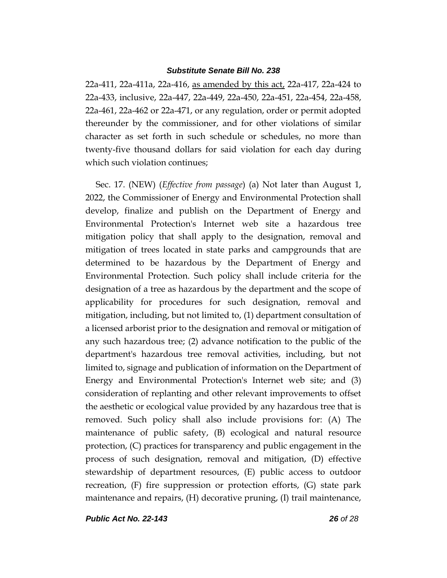22a-411, 22a-411a, 22a-416, as amended by this act, 22a-417, 22a-424 to 22a-433, inclusive, 22a-447, 22a-449, 22a-450, 22a-451, 22a-454, 22a-458, 22a-461, 22a-462 or 22a-471, or any regulation, order or permit adopted thereunder by the commissioner, and for other violations of similar character as set forth in such schedule or schedules, no more than twenty-five thousand dollars for said violation for each day during which such violation continues;

Sec. 17. (NEW) (*Effective from passage*) (a) Not later than August 1, 2022, the Commissioner of Energy and Environmental Protection shall develop, finalize and publish on the Department of Energy and Environmental Protection's Internet web site a hazardous tree mitigation policy that shall apply to the designation, removal and mitigation of trees located in state parks and campgrounds that are determined to be hazardous by the Department of Energy and Environmental Protection. Such policy shall include criteria for the designation of a tree as hazardous by the department and the scope of applicability for procedures for such designation, removal and mitigation, including, but not limited to, (1) department consultation of a licensed arborist prior to the designation and removal or mitigation of any such hazardous tree; (2) advance notification to the public of the department's hazardous tree removal activities, including, but not limited to, signage and publication of information on the Department of Energy and Environmental Protection's Internet web site; and (3) consideration of replanting and other relevant improvements to offset the aesthetic or ecological value provided by any hazardous tree that is removed. Such policy shall also include provisions for: (A) The maintenance of public safety, (B) ecological and natural resource protection, (C) practices for transparency and public engagement in the process of such designation, removal and mitigation, (D) effective stewardship of department resources, (E) public access to outdoor recreation, (F) fire suppression or protection efforts, (G) state park maintenance and repairs, (H) decorative pruning, (I) trail maintenance,

*Public Act No. 22-143 26 of 28*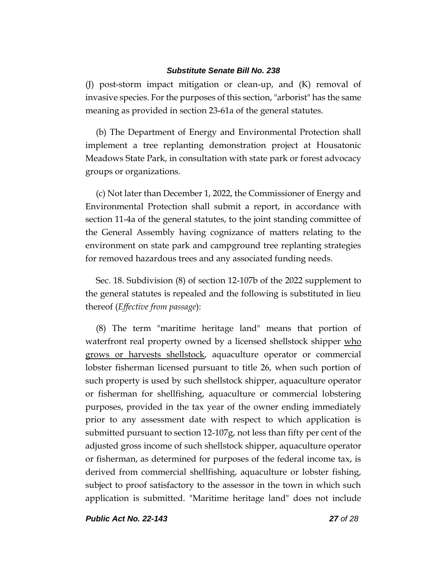(J) post-storm impact mitigation or clean-up, and (K) removal of invasive species. For the purposes of this section, "arborist" has the same meaning as provided in section 23-61a of the general statutes.

(b) The Department of Energy and Environmental Protection shall implement a tree replanting demonstration project at Housatonic Meadows State Park, in consultation with state park or forest advocacy groups or organizations.

(c) Not later than December 1, 2022, the Commissioner of Energy and Environmental Protection shall submit a report, in accordance with section 11-4a of the general statutes, to the joint standing committee of the General Assembly having cognizance of matters relating to the environment on state park and campground tree replanting strategies for removed hazardous trees and any associated funding needs.

Sec. 18. Subdivision (8) of section 12-107b of the 2022 supplement to the general statutes is repealed and the following is substituted in lieu thereof (*Effective from passage*):

(8) The term "maritime heritage land" means that portion of waterfront real property owned by a licensed shellstock shipper who grows or harvests shellstock, aquaculture operator or commercial lobster fisherman licensed pursuant to title 26, when such portion of such property is used by such shellstock shipper, aquaculture operator or fisherman for shellfishing, aquaculture or commercial lobstering purposes, provided in the tax year of the owner ending immediately prior to any assessment date with respect to which application is submitted pursuant to section 12-107g, not less than fifty per cent of the adjusted gross income of such shellstock shipper, aquaculture operator or fisherman, as determined for purposes of the federal income tax, is derived from commercial shellfishing, aquaculture or lobster fishing, subject to proof satisfactory to the assessor in the town in which such application is submitted. "Maritime heritage land" does not include

*Public Act No. 22-143 27 of 28*